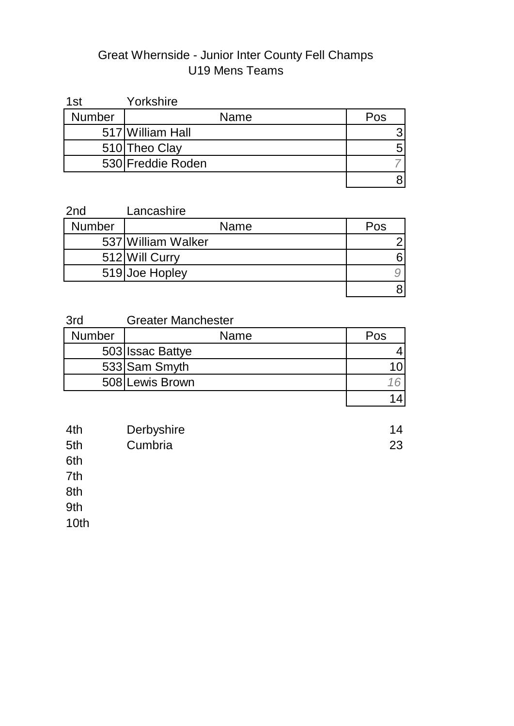# Great Whernside - Junior Inter County Fell Champs U19 Mens Teams

| 1st           | Yorkshire         |     |
|---------------|-------------------|-----|
| <b>Number</b> | Name              | Pos |
|               | 517 William Hall  |     |
|               | 510 Theo Clay     |     |
|               | 530 Freddie Roden |     |
|               |                   |     |

| 2 <sub>nd</sub> | Lancashire         |     |
|-----------------|--------------------|-----|
| <b>Number</b>   | Name               | Pos |
|                 | 537 William Walker |     |
|                 | 512 Will Curry     |     |
|                 | 519 Joe Hopley     |     |
|                 |                    |     |

| 3rd           | <b>Greater Manchester</b> |     |
|---------------|---------------------------|-----|
| <b>Number</b> | Name                      | Pos |
|               | 503 <b>Issac Battye</b>   |     |
|               | 533 Sam Smyth             |     |
|               | 508 Lewis Brown           |     |
|               |                           |     |

| 4th | Derbyshire | 14 |
|-----|------------|----|
| 5th | Cumbria    | 23 |
| 6th |            |    |

 $7th$ 

 $8th$   $\hbox{M}_\mathrm{A}$   $\hbox{M}_\mathrm{A}$   $\hbox{M}_\mathrm{A}$   $\hbox{M}_\mathrm{A}$   $\hbox{M}_\mathrm{A}$   $\hbox{M}_\mathrm{A}$   $\hbox{M}_\mathrm{A}$   $\hbox{M}_\mathrm{A}$   $\hbox{M}_\mathrm{A}$   $\hbox{M}_\mathrm{A}$   $\hbox{M}_\mathrm{A}$   $\hbox{M}_\mathrm{A}$   $\hbox{M}_\mathrm{A}$   $\hbox{M}_\mathrm{A}$   $\hbox{M}_\mathrm{A}$   $\hbox{M$ 

 $9th$   $4.1$   $4.1$   $4.1$   $4.1$   $4.1$   $4.1$   $4.1$   $4.1$   $4.1$   $4.1$   $4.1$   $4.1$   $4.1$   $4.1$   $4.1$   $4.1$   $4.1$   $4.1$   $4.1$   $4.1$   $4.1$   $4.1$   $4.1$   $4.1$   $4.1$   $4.1$   $4.1$   $4.1$   $4.1$   $4.1$   $4.1$   $4.1$   $4.1$   $4.1$   $4.1$   $4.1$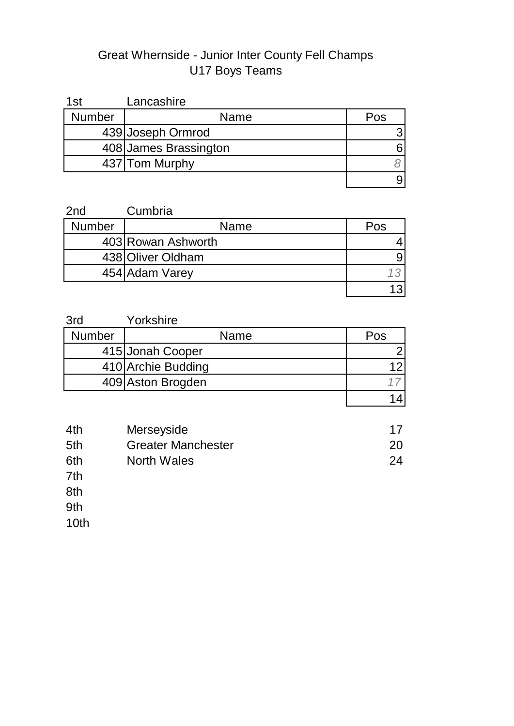# Great Whernside - Junior Inter County Fell Champs U17 Boys Teams

| 1st           | Lancashire            |     |
|---------------|-----------------------|-----|
| <b>Number</b> | Name                  | Pos |
|               | 439 Joseph Ormrod     |     |
|               | 408 James Brassington |     |
|               | 437 Tom Murphy        |     |
|               |                       |     |

| 2 <sub>nd</sub> | Cumbria            |     |
|-----------------|--------------------|-----|
| <b>Number</b>   | Name               | Pos |
|                 | 403 Rowan Ashworth |     |
|                 | 438 Oliver Oldham  |     |
|                 | 454 Adam Varey     |     |
|                 |                    |     |

| 3rd           | Yorkshire          |     |
|---------------|--------------------|-----|
| <b>Number</b> | <b>Name</b>        | Pos |
|               | 415 Jonah Cooper   |     |
|               | 410 Archie Budding |     |
|               | 409 Aston Brogden  |     |
|               |                    |     |

| 4th | Merseyside                |    |
|-----|---------------------------|----|
| 5th | <b>Greater Manchester</b> | 20 |
| 6th | North Wales               | 24 |

7th Avon and Somerset 9999

 $8th$   $\hbox{M}_\mathrm{A}$   $\hbox{M}_\mathrm{A}$   $\hbox{M}_\mathrm{A}$   $\hbox{M}_\mathrm{A}$   $\hbox{M}_\mathrm{A}$   $\hbox{M}_\mathrm{A}$   $\hbox{M}_\mathrm{A}$   $\hbox{M}_\mathrm{A}$   $\hbox{M}_\mathrm{A}$   $\hbox{M}_\mathrm{A}$   $\hbox{M}_\mathrm{A}$   $\hbox{M}_\mathrm{A}$   $\hbox{M}_\mathrm{A}$   $\hbox{M}_\mathrm{A}$   $\hbox{M}_\mathrm{A}$   $\hbox{M$ 

 $9th$   $4.1$   $4.1$   $4.1$   $4.1$   $4.1$   $4.1$   $4.1$   $4.1$   $4.1$   $4.1$   $4.1$   $4.1$   $4.1$   $4.1$   $4.1$   $4.1$   $4.1$   $4.1$   $4.1$   $4.1$   $4.1$   $4.1$   $4.1$   $4.1$   $4.1$   $4.1$   $4.1$   $4.1$   $4.1$   $4.1$   $4.1$   $4.1$   $4.1$   $4.1$   $4.1$   $4.1$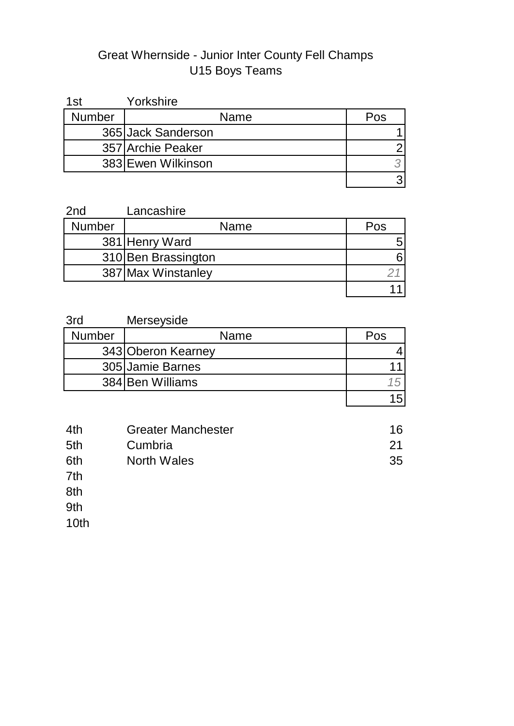# Great Whernside - Junior Inter County Fell Champs U15 Boys Teams

| 1st           | Yorkshire          |     |
|---------------|--------------------|-----|
| <b>Number</b> | Name               | Pos |
|               | 365 Jack Sanderson |     |
|               | 357 Archie Peaker  |     |
|               | 383 Ewen Wilkinson |     |
|               |                    |     |

| 2 <sub>nd</sub> | Lancashire          |     |
|-----------------|---------------------|-----|
| <b>Number</b>   | <b>Name</b>         | Pos |
|                 | 381 Henry Ward      |     |
|                 | 310 Ben Brassington |     |
|                 | 387 Max Winstanley  |     |
|                 |                     |     |

| 3rd           | Merseyside         |     |
|---------------|--------------------|-----|
| <b>Number</b> | Name               | Pos |
|               | 343 Oberon Kearney |     |
|               | 305 Jamie Barnes   |     |
|               | 384 Ben Williams   |     |
|               |                    |     |

| 4th | <b>Greater Manchester</b> | 16 |
|-----|---------------------------|----|
| 5th | Cumbria                   | 21 |
| 6th | North Wales               | 35 |
| 7th |                           |    |

 $8th$   $\hbox{M}_\mathrm{A}$   $\hbox{M}_\mathrm{A}$   $\hbox{M}_\mathrm{A}$   $\hbox{M}_\mathrm{A}$   $\hbox{M}_\mathrm{A}$   $\hbox{M}_\mathrm{A}$   $\hbox{M}_\mathrm{A}$   $\hbox{M}_\mathrm{A}$   $\hbox{M}_\mathrm{A}$   $\hbox{M}_\mathrm{A}$   $\hbox{M}_\mathrm{A}$   $\hbox{M}_\mathrm{A}$   $\hbox{M}_\mathrm{A}$   $\hbox{M}_\mathrm{A}$   $\hbox{M}_\mathrm{A}$   $\hbox{M$ 

 $9th$   $4.1$   $4.1$   $4.1$   $4.1$   $4.1$   $4.1$   $4.1$   $4.1$   $4.1$   $4.1$   $4.1$   $4.1$   $4.1$   $4.1$   $4.1$   $4.1$   $4.1$   $4.1$   $4.1$   $4.1$   $4.1$   $4.1$   $4.1$   $4.1$   $4.1$   $4.1$   $4.1$   $4.1$   $4.1$   $4.1$   $4.1$   $4.1$   $4.1$   $4.1$   $4.1$   $4.1$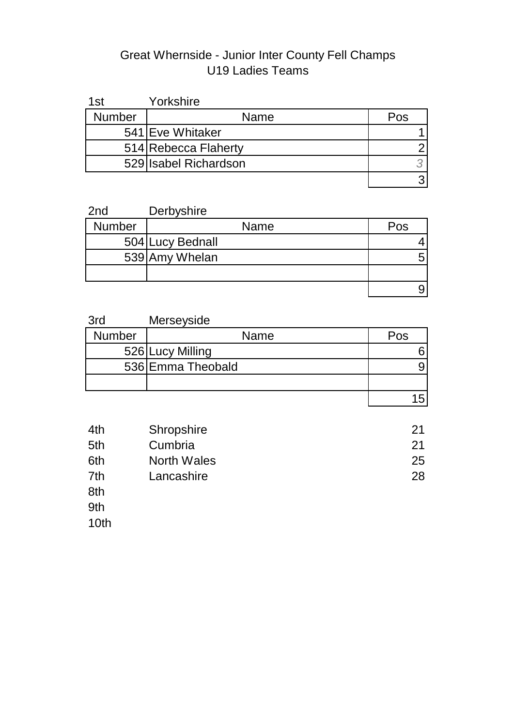# Great Whernside - Junior Inter County Fell Champs U19 Ladies Teams

| 1st           | Yorkshire             |     |
|---------------|-----------------------|-----|
| <b>Number</b> | Name                  | Pos |
|               | 541 Eve Whitaker      |     |
|               | 514 Rebecca Flaherty  |     |
|               | 529 Isabel Richardson |     |
|               |                       |     |

| 2 <sub>nd</sub> | Derbyshire       |     |
|-----------------|------------------|-----|
| <b>Number</b>   | <b>Name</b>      | Pos |
|                 | 504 Lucy Bednall |     |
|                 | 539 Amy Whelan   |     |
|                 |                  |     |
|                 |                  |     |

| 3rd           | Merseyside        |     |
|---------------|-------------------|-----|
| <b>Number</b> | Name              | Pos |
|               | 526 Lucy Milling  |     |
|               | 536 Emma Theobald |     |
|               |                   |     |
|               |                   |     |

| 4th | Shropshire  | 21 |
|-----|-------------|----|
| 5th | Cumbria     | 21 |
| 6th | North Wales | 25 |
| 7th | Lancashire  | 28 |
| 8th |             |    |

 $9th$   $4.1$   $4.1$   $4.1$   $4.1$   $4.1$   $4.1$   $4.1$   $4.1$   $4.1$   $4.1$   $4.1$   $4.1$   $4.1$   $4.1$   $4.1$   $4.1$   $4.1$   $4.1$   $4.1$   $4.1$   $4.1$   $4.1$   $4.1$   $4.1$   $4.1$   $4.1$   $4.1$   $4.1$   $4.1$   $4.1$   $4.1$   $4.1$   $4.1$   $4.1$   $4.1$   $4.1$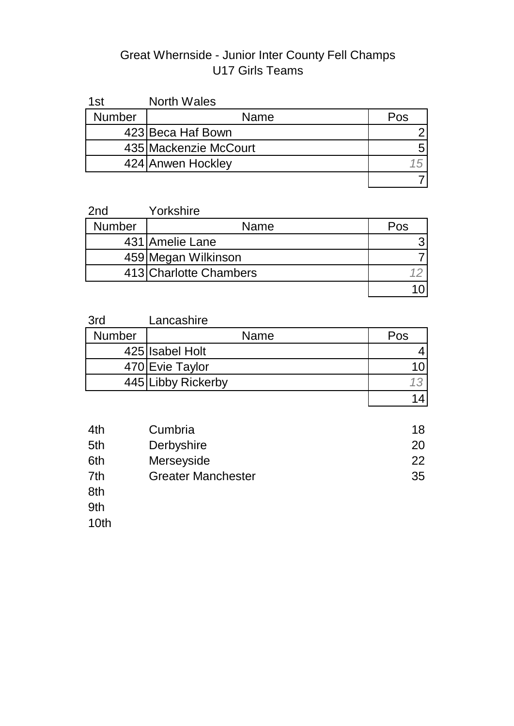#### Great Whernside - Junior Inter County Fell Champs U17 Girls Teams

| 1st           | <b>North Wales</b>    |     |
|---------------|-----------------------|-----|
| <b>Number</b> | Name                  | Pos |
|               | 423 Beca Haf Bown     |     |
|               | 435 Mackenzie McCourt |     |
|               | 424 Anwen Hockley     |     |
|               |                       |     |

| 2 <sub>nd</sub> | Yorkshire              |     |
|-----------------|------------------------|-----|
| <b>Number</b>   | Name                   | Pos |
|                 | 431 Amelie Lane        |     |
|                 | 459 Megan Wilkinson    |     |
|                 | 413 Charlotte Chambers |     |
|                 |                        |     |

| 3rd           | Lancashire         |     |
|---------------|--------------------|-----|
| <b>Number</b> | <b>Name</b>        | Pos |
|               | 425 Isabel Holt    |     |
|               | 470 Evie Taylor    |     |
|               | 445 Libby Rickerby |     |
|               |                    |     |

| 4th | Cumbria                   | 18 |
|-----|---------------------------|----|
| 5th | Derbyshire                | 20 |
| 6th | Merseyside                | 22 |
| 7th | <b>Greater Manchester</b> | 35 |
| 8th |                           |    |

 $9th$   $4.1$   $4.1$   $4.1$   $4.1$   $4.1$   $4.1$   $4.1$   $4.1$   $4.1$   $4.1$   $4.1$   $4.1$   $4.1$   $4.1$   $4.1$   $4.1$   $4.1$   $4.1$   $4.1$   $4.1$   $4.1$   $4.1$   $4.1$   $4.1$   $4.1$   $4.1$   $4.1$   $4.1$   $4.1$   $4.1$   $4.1$   $4.1$   $4.1$   $4.1$   $4.1$   $4.1$